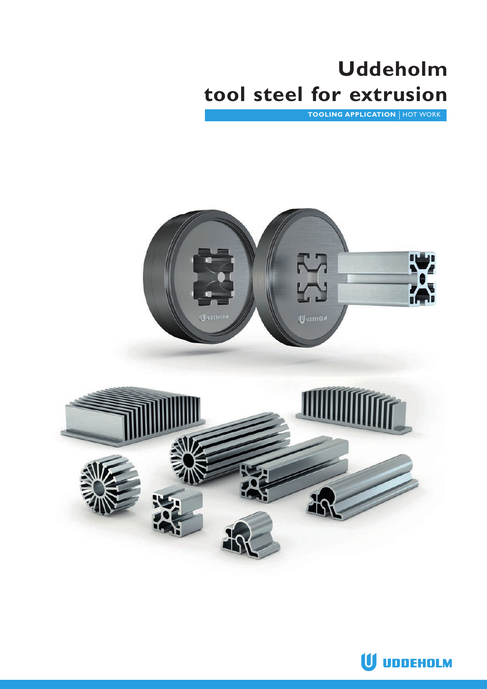# **Uddeholm tool steel for extrusion**

**TOOLING APPLICATION | HOT WORK** 



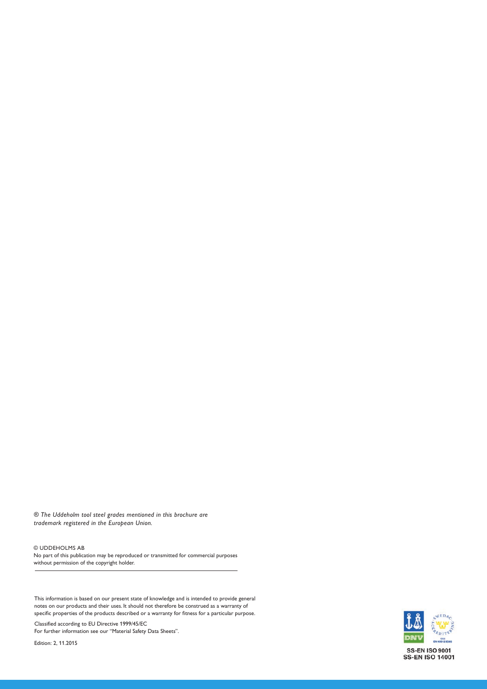*® The Uddeholm tool steel grades mentioned in this brochure are trademark registered in the European Union.*

© UDDEHOLMS AB No part of this publication may be reproduced or transmitted for commercial purposes without permission of the copyright holder.

This information is based on our present state of knowledge and is intended to provide general notes on our products and their uses. It should not therefore be construed as a warranty of specific properties of the products described or a warranty for fitness for a particular purpose.

Classified according to EU Directive 1999/45/EC For further information see our "Material Safety Data Sheets".

Edition: 2, 11.2015

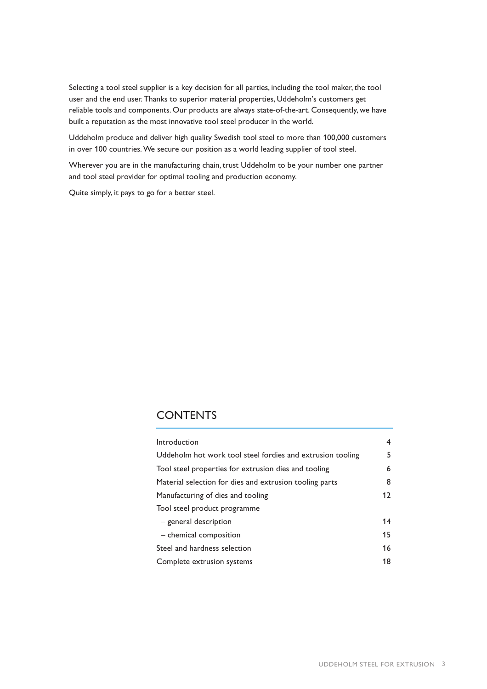Selecting a tool steel supplier is a key decision for all parties, including the tool maker, the tool user and the end user. Thanks to superior material properties, Uddeholm's customers get reliable tools and components. Our products are always state-of-the-art. Consequently, we have built a reputation as the most innovative tool steel producer in the world.

Uddeholm produce and deliver high quality Swedish tool steel to more than 100,000 customers in over 100 countries. We secure our position as a world leading supplier of tool steel.

Wherever you are in the manufacturing chain, trust Uddeholm to be your number one partner and tool steel provider for optimal tooling and production economy.

Quite simply, it pays to go for a better steel.

## **CONTENTS**

| Introduction                                               | 4  |
|------------------------------------------------------------|----|
| Uddeholm hot work tool steel fordies and extrusion tooling | 5  |
| Tool steel properties for extrusion dies and tooling       | 6  |
| Material selection for dies and extrusion tooling parts    | 8  |
| Manufacturing of dies and tooling                          | 12 |
| Tool steel product programme                               |    |
| $-$ general description                                    | 14 |
| - chemical composition                                     | 15 |
| Steel and hardness selection                               | 16 |
| Complete extrusion systems                                 | 18 |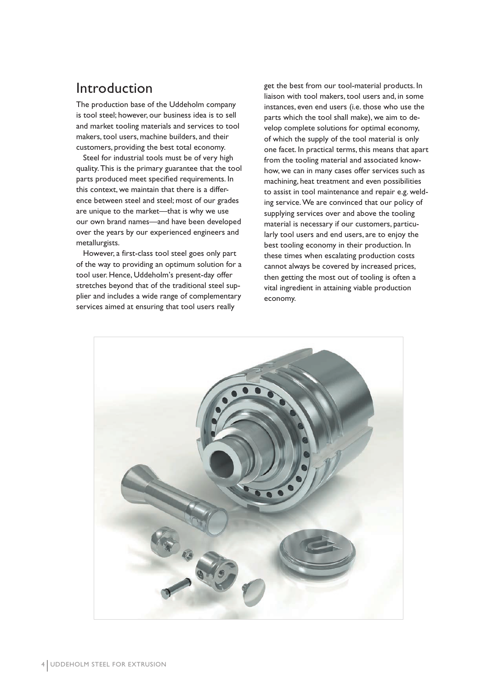# Introduction

The production base of the Uddeholm company is tool steel; however, our business idea is to sell and market tooling materials and services to tool makers, tool users, machine builders, and their customers, providing the best total economy.

Steel for industrial tools must be of very high quality. This is the primary guarantee that the tool parts produced meet specified requirements. In this context, we maintain that there is a difference between steel and steel; most of our grades are unique to the market—that is why we use our own brand names—and have been developed over the years by our experienced engineers and metallurgists.

However, a first-class tool steel goes only part of the way to providing an optimum solution for a tool user. Hence, Uddeholm's present-day offer stretches beyond that of the traditional steel supplier and includes a wide range of complementary services aimed at ensuring that tool users really

get the best from our tool-material products. In liaison with tool makers, tool users and, in some instances, even end users (i.e. those who use the parts which the tool shall make), we aim to develop complete solutions for optimal economy, of which the supply of the tool material is only one facet. In practical terms, this means that apart from the tooling material and associated knowhow, we can in many cases offer services such as machining, heat treatment and even possibilities to assist in tool maintenance and repair e.g. welding service. We are convinced that our policy of supplying services over and above the tooling material is necessary if our customers, particularly tool users and end users, are to enjoy the best tooling economy in their production. In these times when escalating production costs cannot always be covered by increased prices, then getting the most out of tooling is often a vital ingredient in attaining viable production economy.

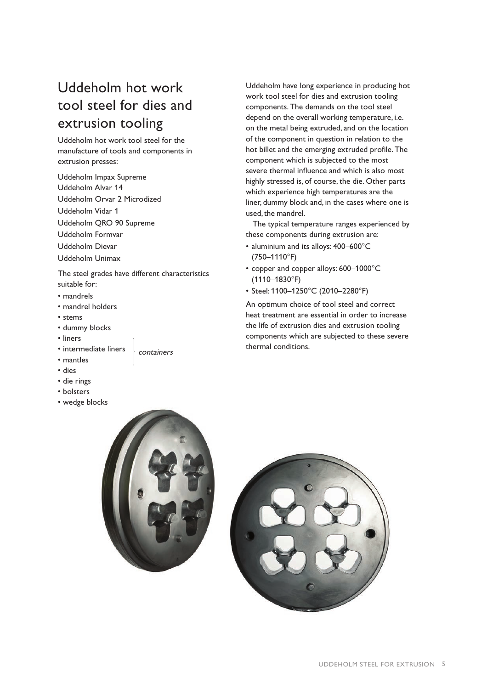# Uddeholm hot work tool steel for dies and extrusion tooling

Uddeholm hot work tool steel for the manufacture of tools and components in extrusion presses:

Uddeholm Impax Supreme Uddeholm Alvar 14 Uddeholm Orvar 2 Microdized Uddeholm Vidar 1 Uddeholm QRO 90 Supreme Uddeholm Formvar Uddeholm Dievar Uddeholm Unimax

The steel grades have different characteristics suitable for:

- mandrels
- mandrel holders
- stems
- dummy blocks
- liners
- intermediate liners
- mantles
- dies
- die rings
- bolsters
- wedge blocks

Uddeholm have long experience in producing hot work tool steel for dies and extrusion tooling components. The demands on the tool steel depend on the overall working temperature, i.e. on the metal being extruded, and on the location of the component in question in relation to the hot billet and the emerging extruded profile. The component which is subjected to the most severe thermal influence and which is also most highly stressed is, of course, the die. Other parts which experience high temperatures are the liner, dummy block and, in the cases where one is used, the mandrel.

The typical temperature ranges experienced by these components during extrusion are:

- aluminium and its alloys: 400–600°C (750–1110°F)
- copper and copper alloys: 600–1000°C (1110–1830°F)
- Steel: 1100–1250°C (2010–2280°F)

An optimum choice of tool steel and correct heat treatment are essential in order to increase the life of extrusion dies and extrusion tooling components which are subjected to these severe thermal conditions.



containers

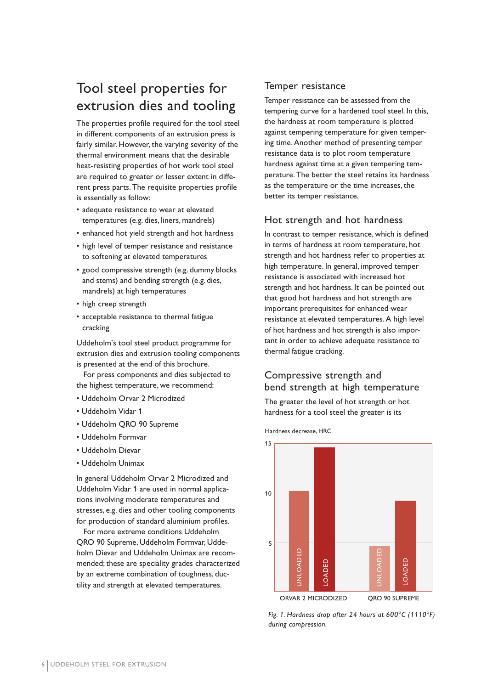# Tool steel properties for extrusion dies and tooling

The properties profile required for the tool steel in different components of an extrusion press is fairly similar. However, the varying severity of the thermal environment means that the desirable heat-resisting properties of hot work tool steel are required to greater or lesser extent in different press parts. The requisite properties profile is essentially as follow:

- adequate resistance to wear at elevated temperatures (e.g. dies, liners, mandrels)
- enhanced hot yield strength and hot hardness
- high level of temper resistance and resistance to softening at elevated temperatures
- good compressive strength (e.g. dummy blocks and stems) and bending strength (e.g. dies, mandrels) at high temperatures
- high creep strength
- acceptable resistance to thermal fatigue cracking

Uddeholm's tool steel product programme for extrusion dies and extrusion tooling components is presented at the end of this brochure.

For press components and dies subjected to the highest temperature, we recommend:

- Uddeholm Orvar 2 Microdized
- Uddeholm Vidar 1
- Uddeholm QRO 90 Supreme
- Uddeholm Formvar
- Uddeholm Dievar
- Uddeholm Unimax

In general Uddeholm Orvar 2 Microdized and Uddeholm Vidar 1 are used in normal applications involving moderate temperatures and stresses, e.g. dies and other tooling components for production of standard aluminium profiles.

For more extreme conditions Uddeholm QRO 90 Supreme, Uddeholm Formvar, Uddeholm Dievar and Uddeholm Unimax are recommended; these are speciality grades characterized by an extreme combination of toughness, ductility and strength at elevated temperatures.

#### Temper resistance

Temper resistance can be assessed from the tempering curve for a hardened tool steel. In this, the hardness at room temperature is plotted against tempering temperature for given tempering time. Another method of presenting temper resistance data is to plot room temperature hardness against time at a given tempering temperature. The better the steel retains its hardness as the temperature or the time increases, the better its temper resistance,

#### Hot strength and hot hardness

In contrast to temper resistance, which is defined in terms of hardness at room temperature, hot strength and hot hardness refer to properties at high temperature. In general, improved temper resistance is associated with increased hot strength and hot hardness. It can be pointed out that good hot hardness and hot strength are important prerequisites for enhanced wear resistance at elevated temperatures. A high level of hot hardness and hot strength is also important in order to achieve adequate resistance to thermal fatigue cracking.

### Compressive strength and bend strength at high temperature

The greater the level of hot strength or hot hardness for a tool steel the greater is its

Hardness decrease, HRC



*Fig. 1. Hardness drop after 24 hours at 600*°*C (1110*°*F) during compression.*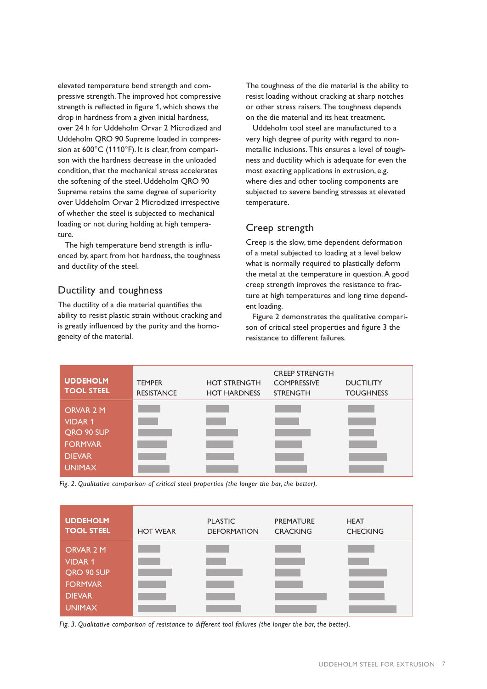elevated temperature bend strength and compressive strength. The improved hot compressive strength is reflected in figure 1, which shows the drop in hardness from a given initial hardness, over 24 h for Uddeholm Orvar 2 Microdized and Uddeholm QRO 90 Supreme loaded in compression at 600°C (1110°F). It is clear, from comparison with the hardness decrease in the unloaded condition, that the mechanical stress accelerates the softening of the steel. Uddeholm QRO 90 Supreme retains the same degree of superiority over Uddeholm Orvar 2 Microdized irrespective of whether the steel is subjected to mechanical loading or not during holding at high temperature.

The high temperature bend strength is influenced by, apart from hot hardness, the toughness and ductility of the steel.

## Ductility and toughness

The ductility of a die material quantifies the ability to resist plastic strain without cracking and is greatly influenced by the purity and the homogeneity of the material.

The toughness of the die material is the ability to resist loading without cracking at sharp notches or other stress raisers. The toughness depends on the die material and its heat treatment.

Uddeholm tool steel are manufactured to a very high degree of purity with regard to nonmetallic inclusions. This ensures a level of toughness and ductility which is adequate for even the most exacting applications in extrusion, e.g. where dies and other tooling components are subjected to severe bending stresses at elevated temperature.

### Creep strength

Creep is the slow, time dependent deformation of a metal subjected to loading at a level below what is normally required to plastically deform the metal at the temperature in question. A good creep strength improves the resistance to fracture at high temperatures and long time dependent loading.

Figure 2 demonstrates the qualitative comparison of critical steel properties and figure 3 the resistance to different failures.



*Fig. 2. Qualitative comparison of critical steel properties (the longer the bar, the better).*



*Fig. 3. Qualitative comparison of resistance to different tool failures (the longer the bar, the better).*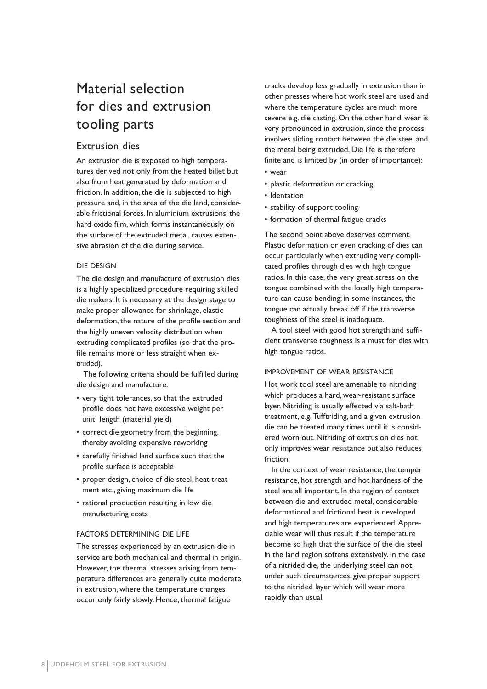# Material selection for dies and extrusion tooling parts

#### Extrusion dies

An extrusion die is exposed to high temperatures derived not only from the heated billet but also from heat generated by deformation and friction. In addition, the die is subjected to high pressure and, in the area of the die land, considerable frictional forces. In aluminium extrusions, the hard oxide film, which forms instantaneously on the surface of the extruded metal, causes extensive abrasion of the die during service.

#### DIE DESIGN

The die design and manufacture of extrusion dies is a highly specialized procedure requiring skilled die makers. It is necessary at the design stage to make proper allowance for shrinkage, elastic deformation, the nature of the profile section and the highly uneven velocity distribution when extruding complicated profiles (so that the profile remains more or less straight when extruded).

The following criteria should be fulfilled during die design and manufacture:

- very tight tolerances, so that the extruded profile does not have excessive weight per unit length (material yield)
- correct die geometry from the beginning, thereby avoiding expensive reworking
- carefully finished land surface such that the profile surface is acceptable
- proper design, choice of die steel, heat treatment etc., giving maximum die life
- rational production resulting in low die manufacturing costs

#### FACTORS DETERMINING DIE LIFE

The stresses experienced by an extrusion die in service are both mechanical and thermal in origin. However, the thermal stresses arising from temperature differences are generally quite moderate in extrusion, where the temperature changes occur only fairly slowly. Hence, thermal fatigue

cracks develop less gradually in extrusion than in other presses where hot work steel are used and where the temperature cycles are much more severe e.g. die casting. On the other hand, wear is very pronounced in extrusion, since the process involves sliding contact between the die steel and the metal being extruded. Die life is therefore finite and is limited by (in order of importance):

- wear
- plastic deformation or cracking
- Identation
- stability of support tooling
- formation of thermal fatigue cracks

The second point above deserves comment. Plastic deformation or even cracking of dies can occur particularly when extruding very complicated profiles through dies with high tongue ratios. In this case, the very great stress on the tongue combined with the locally high temperature can cause bending; in some instances, the tongue can actually break off if the transverse toughness of the steel is inadequate.

A tool steel with good hot strength and sufficient transverse toughness is a must for dies with high tongue ratios.

#### IMPROVEMENT OF WEAR RESISTANCE

Hot work tool steel are amenable to nitriding which produces a hard, wear-resistant surface layer. Nitriding is usually effected via salt-bath treatment, e.g. Tufftriding, and a given extrusion die can be treated many times until it is considered worn out. Nitriding of extrusion dies not only improves wear resistance but also reduces friction.

In the context of wear resistance, the temper resistance, hot strength and hot hardness of the steel are all important. In the region of contact between die and extruded metal, considerable deformational and frictional heat is developed and high temperatures are experienced. Appreciable wear will thus result if the temperature become so high that the surface of the die steel in the land region softens extensively. In the case of a nitrided die, the underlying steel can not, under such circumstances, give proper support to the nitrided layer which will wear more rapidly than usual.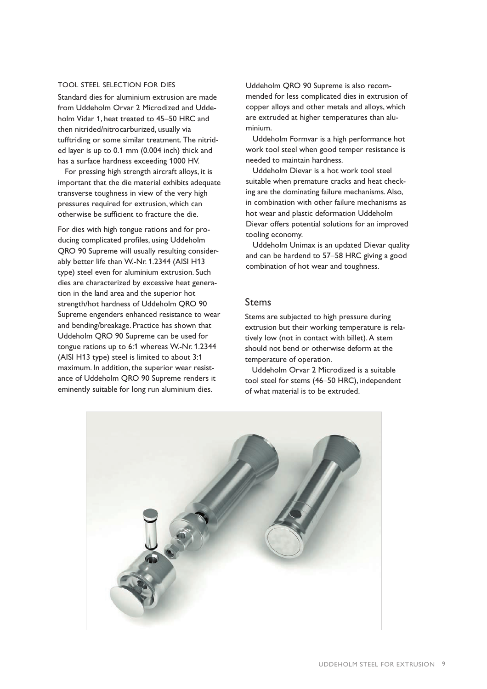#### TOOL STEEL SELECTION FOR DIES

Standard dies for aluminium extrusion are made from Uddeholm Orvar 2 Microdized and Uddeholm Vidar 1, heat treated to 45–50 HRC and then nitrided/nitrocarburized, usually via tufftriding or some similar treatment. The nitrided layer is up to 0.1 mm (0.004 inch) thick and has a surface hardness exceeding 1000 HV.

For pressing high strength aircraft alloys, it is important that the die material exhibits adequate transverse toughness in view of the very high pressures required for extrusion, which can otherwise be sufficient to fracture the die.

For dies with high tongue rations and for producing complicated profiles, using Uddeholm QRO 90 Supreme will usually resulting considerably better life than W.-Nr. 1.2344 (AISI H13 type) steel even for aluminium extrusion. Such dies are characterized by excessive heat generation in the land area and the superior hot strength/hot hardness of Uddeholm QRO 90 Supreme engenders enhanced resistance to wear and bending/breakage. Practice has shown that Uddeholm QRO 90 Supreme can be used for tongue rations up to 6:1 whereas W.-Nr. 1.2344 (AISI H13 type) steel is limited to about 3:1 maximum. In addition, the superior wear resistance of Uddeholm QRO 90 Supreme renders it eminently suitable for long run aluminium dies.

Uddeholm QRO 90 Supreme is also recommended for less complicated dies in extrusion of copper alloys and other metals and alloys, which are extruded at higher temperatures than aluminium.

Uddeholm Formvar is a high performance hot work tool steel when good temper resistance is needed to maintain hardness.

Uddeholm Dievar is a hot work tool steel suitable when premature cracks and heat checking are the dominating failure mechanisms. Also, in combination with other failure mechanisms as hot wear and plastic deformation Uddeholm Dievar offers potential solutions for an improved tooling economy.

Uddeholm Unimax is an updated Dievar quality and can be hardend to 57–58 HRC giving a good combination of hot wear and toughness.

#### Stems

Stems are subjected to high pressure during extrusion but their working temperature is relatively low (not in contact with billet). A stem should not bend or otherwise deform at the temperature of operation.

Uddeholm Orvar 2 Microdized is a suitable tool steel for stems (46–50 HRC), independent of what material is to be extruded.

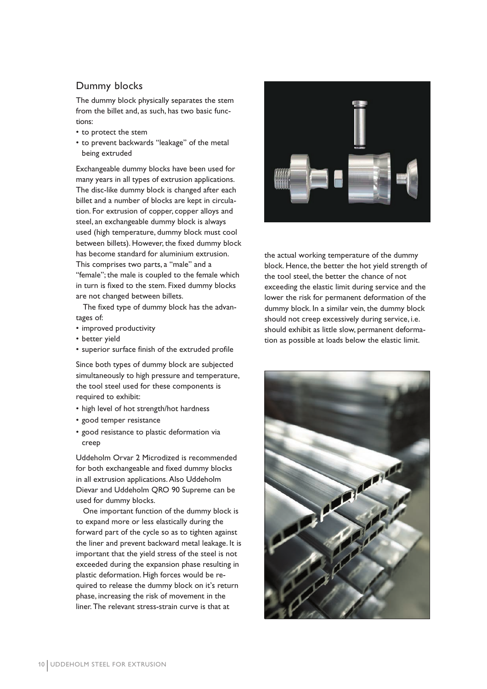### Dummy blocks

The dummy block physically separates the stem from the billet and, as such, has two basic functions:

- to protect the stem
- to prevent backwards "leakage" of the metal being extruded

Exchangeable dummy blocks have been used for many years in all types of extrusion applications. The disc-like dummy block is changed after each billet and a number of blocks are kept in circulation. For extrusion of copper, copper alloys and steel, an exchangeable dummy block is always used (high temperature, dummy block must cool between billets). However, the fixed dummy block has become standard for aluminium extrusion. This comprises two parts, a "male" and a "female"; the male is coupled to the female which in turn is fixed to the stem. Fixed dummy blocks are not changed between billets.

The fixed type of dummy block has the advantages of:

- improved productivity
- better yield
- superior surface finish of the extruded profile

Since both types of dummy block are subjected simultaneously to high pressure and temperature, the tool steel used for these components is required to exhibit:

- high level of hot strength/hot hardness
- good temper resistance
- good resistance to plastic deformation via creep

Uddeholm Orvar 2 Microdized is recommended for both exchangeable and fixed dummy blocks in all extrusion applications. Also Uddeholm Dievar and Uddeholm QRO 90 Supreme can be used for dummy blocks.

One important function of the dummy block is to expand more or less elastically during the forward part of the cycle so as to tighten against the liner and prevent backward metal leakage. It is important that the yield stress of the steel is not exceeded during the expansion phase resulting in plastic deformation. High forces would be required to release the dummy block on it's return phase, increasing the risk of movement in the liner. The relevant stress-strain curve is that at



the actual working temperature of the dummy block. Hence, the better the hot yield strength of the tool steel, the better the chance of not exceeding the elastic limit during service and the lower the risk for permanent deformation of the dummy block. In a similar vein, the dummy block should not creep excessively during service, i.e. should exhibit as little slow, permanent deformation as possible at loads below the elastic limit.

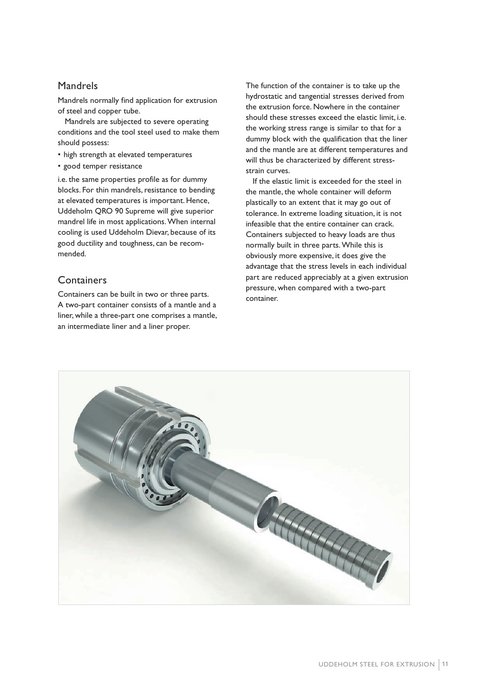### Mandrels

Mandrels normally find application for extrusion of steel and copper tube.

Mandrels are subjected to severe operating conditions and the tool steel used to make them should possess:

- high strength at elevated temperatures
- good temper resistance

i.e. the same properties profile as for dummy blocks. For thin mandrels, resistance to bending at elevated temperatures is important. Hence, Uddeholm QRO 90 Supreme will give superior mandrel life in most applications. When internal cooling is used Uddeholm Dievar, because of its good ductility and toughness, can be recommended.

### **Containers**

Containers can be built in two or three parts. A two-part container consists of a mantle and a liner, while a three-part one comprises a mantle, an intermediate liner and a liner proper.

The function of the container is to take up the hydrostatic and tangential stresses derived from the extrusion force. Nowhere in the container should these stresses exceed the elastic limit, i.e. the working stress range is similar to that for a dummy block with the qualification that the liner and the mantle are at different temperatures and will thus be characterized by different stressstrain curves.

If the elastic limit is exceeded for the steel in the mantle, the whole container will deform plastically to an extent that it may go out of tolerance. In extreme loading situation, it is not infeasible that the entire container can crack. Containers subjected to heavy loads are thus normally built in three parts. While this is obviously more expensive, it does give the advantage that the stress levels in each individual part are reduced appreciably at a given extrusion pressure, when compared with a two-part container.

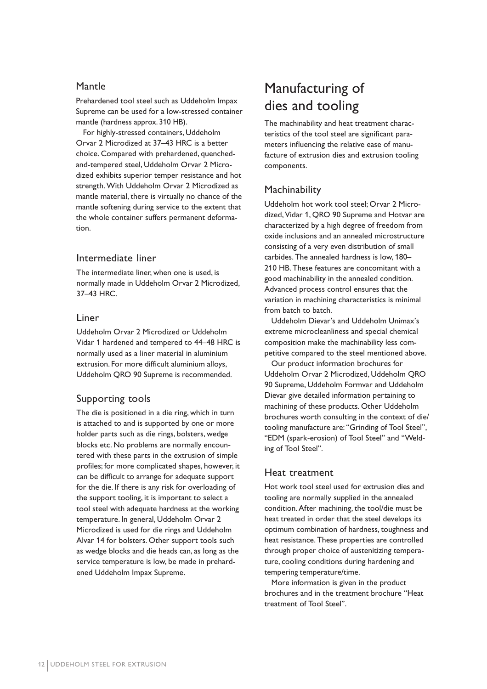### Mantle

Prehardened tool steel such as Uddeholm Impax Supreme can be used for a low-stressed container mantle (hardness approx. 310 HB).

For highly-stressed containers, Uddeholm Orvar 2 Microdized at 37–43 HRC is a better choice. Compared with prehardened, quenchedand-tempered steel, Uddeholm Orvar 2 Microdized exhibits superior temper resistance and hot strength. With Uddeholm Orvar 2 Microdized as mantle material, there is virtually no chance of the mantle softening during service to the extent that the whole container suffers permanent deformation.

#### Intermediate liner

The intermediate liner, when one is used, is normally made in Uddeholm Orvar 2 Microdized, 37–43 HRC.

#### Liner

Uddeholm Orvar 2 Microdized or Uddeholm Vidar 1 hardened and tempered to 44–48 HRC is normally used as a liner material in aluminium extrusion. For more difficult aluminium alloys, Uddeholm QRO 90 Supreme is recommended.

#### Supporting tools

The die is positioned in a die ring, which in turn is attached to and is supported by one or more holder parts such as die rings, bolsters, wedge blocks etc. No problems are normally encountered with these parts in the extrusion of simple profiles; for more complicated shapes, however, it can be difficult to arrange for adequate support for the die. If there is any risk for overloading of the support tooling, it is important to select a tool steel with adequate hardness at the working temperature. In general, Uddeholm Orvar 2 Microdized is used for die rings and Uddeholm Alvar 14 for bolsters. Other support tools such as wedge blocks and die heads can, as long as the service temperature is low, be made in prehardened Uddeholm Impax Supreme.

# Manufacturing of dies and tooling

The machinability and heat treatment characteristics of the tool steel are significant parameters influencing the relative ease of manufacture of extrusion dies and extrusion tooling components.

## **Machinability**

Uddeholm hot work tool steel; Orvar 2 Microdized, Vidar 1, QRO 90 Supreme and Hotvar are characterized by a high degree of freedom from oxide inclusions and an annealed microstructure consisting of a very even distribution of small carbides. The annealed hardness is low, 180– 210 HB. These features are concomitant with a good machinability in the annealed condition. Advanced process control ensures that the variation in machining characteristics is minimal from batch to batch.

Uddeholm Dievar's and Uddeholm Unimax's extreme microcleanliness and special chemical composition make the machinability less competitive compared to the steel mentioned above.

Our product information brochures for Uddeholm Orvar 2 Microdized, Uddeholm QRO 90 Supreme, Uddeholm Formvar and Uddeholm Dievar give detailed information pertaining to machining of these products. Other Uddeholm brochures worth consulting in the context of die/ tooling manufacture are: "Grinding of Tool Steel", "EDM (spark-erosion) of Tool Steel" and "Welding of Tool Steel".

#### Heat treatment

Hot work tool steel used for extrusion dies and tooling are normally supplied in the annealed condition. After machining, the tool/die must be heat treated in order that the steel develops its optimum combination of hardness, toughness and heat resistance. These properties are controlled through proper choice of austenitizing temperature, cooling conditions during hardening and tempering temperature/time.

More information is given in the product brochures and in the treatment brochure "Heat treatment of Tool Steel".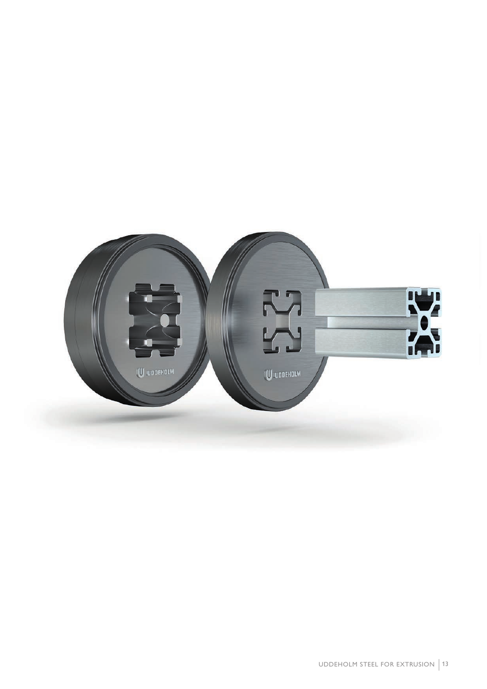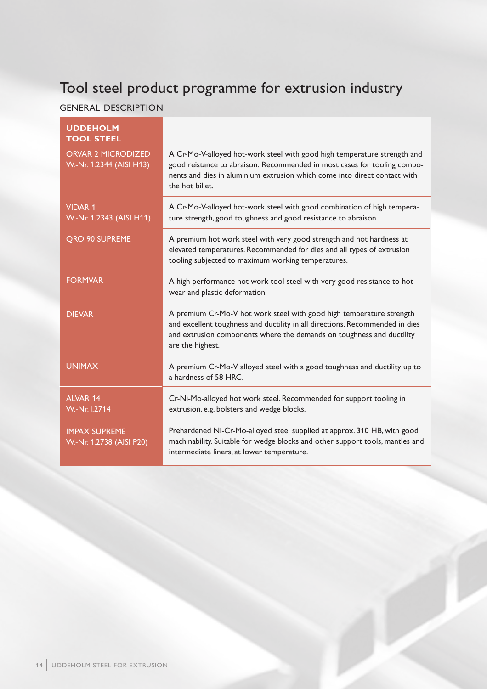# Tool steel product programme for extrusion industry

# GENERAL DESCRIPTION

| <b>UDDEHOLM</b><br><b>TOOL STEEL</b>                  |                                                                                                                                                                                                                                                      |
|-------------------------------------------------------|------------------------------------------------------------------------------------------------------------------------------------------------------------------------------------------------------------------------------------------------------|
| <b>ORVAR 2 MICRODIZED</b><br>W.-Nr. 1.2344 (AISI H13) | A Cr-Mo-V-alloyed hot-work steel with good high temperature strength and<br>good reistance to abraison. Recommended in most cases for tooling compo-<br>nents and dies in aluminium extrusion which come into direct contact with<br>the hot billet. |
| <b>VIDAR1</b><br>W.-Nr. 1.2343 (AISI H11)             | A Cr-Mo-V-alloyed hot-work steel with good combination of high tempera-<br>ture strength, good toughness and good resistance to abraison.                                                                                                            |
| QRO 90 SUPREME                                        | A premium hot work steel with very good strength and hot hardness at<br>elevated temperatures. Recommended for dies and all types of extrusion<br>tooling subjected to maximum working temperatures.                                                 |
| <b>FORMVAR</b>                                        | A high performance hot work tool steel with very good resistance to hot<br>wear and plastic deformation.                                                                                                                                             |
| <b>DIEVAR</b>                                         | A premium Cr-Mo-V hot work steel with good high temperature strength<br>and excellent toughness and ductility in all directions. Recommended in dies<br>and extrusion components where the demands on toughness and ductility<br>are the highest.    |
| <b>UNIMAX</b>                                         | A premium Cr-Mo-V alloyed steel with a good toughness and ductility up to<br>a hardness of 58 HRC.                                                                                                                                                   |
| <b>ALVAR 14</b><br>W.-Nr. 1.2714                      | Cr-Ni-Mo-alloyed hot work steel. Recommended for support tooling in<br>extrusion, e.g. bolsters and wedge blocks.                                                                                                                                    |
| <b>IMPAX SUPREME</b><br>W.-Nr. 1.2738 (AISI P20)      | Prehardened Ni-Cr-Mo-alloyed steel supplied at approx. 310 HB, with good<br>machinability. Suitable for wedge blocks and other support tools, mantles and<br>intermediate liners, at lower temperature.                                              |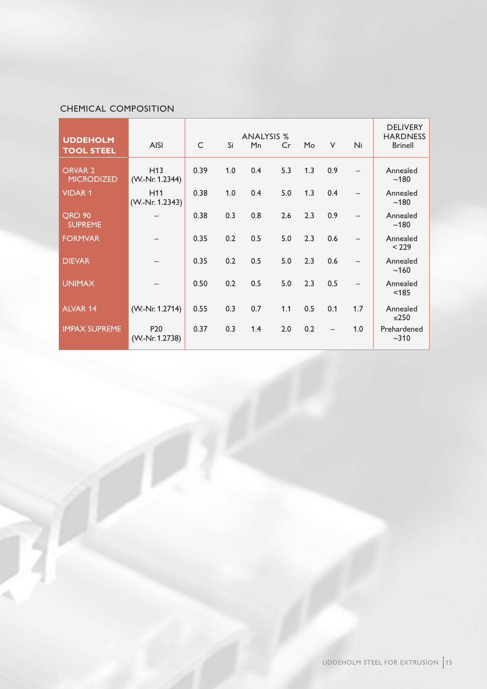## CHEMICAL COMPOSITION

| <b>UDDEHOLM</b>                     |                                    |      |     | <b>ANALYSIS %</b> |     |     |        |     | <b>DELIVERY</b><br><b>HARDNESS</b> |
|-------------------------------------|------------------------------------|------|-----|-------------------|-----|-----|--------|-----|------------------------------------|
| <b>TOOL STEEL</b>                   | <b>AISI</b>                        | C    | Si  | Mn                | Cr  | Mo  | $\vee$ | Ni  | <b>Brinell</b>                     |
| <b>ORVAR 2</b><br><b>MICRODIZED</b> | H <sub>13</sub><br>(W.-Nr. 1.2344) | 0.39 | 1.0 | 0.4               | 5.3 | 1.3 | 0.9    |     | Annealed<br>~180                   |
| <b>VIDAR1</b>                       | H <sub>11</sub><br>(W.-Nr. 1.2343) | 0.38 | 1.0 | 0.4               | 5.0 | 1.3 | 0.4    |     | Annealed<br>~180                   |
| <b>QRO 90</b><br><b>SUPREME</b>     |                                    | 0.38 | 0.3 | 0.8               | 2.6 | 2.3 | 0.9    |     | Annealed<br>~180                   |
| <b>FORMVAR</b>                      |                                    | 0.35 | 0.2 | 0.5               | 5.0 | 2.3 | 0.6    |     | Annealed<br>< 229                  |
| <b>DIEVAR</b>                       |                                    | 0.35 | 0.2 | 0.5               | 5.0 | 2.3 | 0.6    |     | Annealed<br>$~160$                 |
| <b>UNIMAX</b>                       |                                    | 0.50 | 0.2 | 0.5               | 5.0 | 2.3 | 0.5    |     | Annealed<br>< 185                  |
| <b>ALVAR 14</b>                     | (W.-Nr. 1.2714)                    | 0.55 | 0.3 | 0.7               | 1.1 | 0.5 | 0.1    | 1.7 | Annealed<br>$\leq$ 250             |
| <b>IMPAX SUPREME</b>                | P <sub>20</sub><br>(W.-Nr. 1.2738) | 0.37 | 0.3 | 1.4               | 2.0 | 0.2 |        | 1.0 | Prehardened<br>~10                 |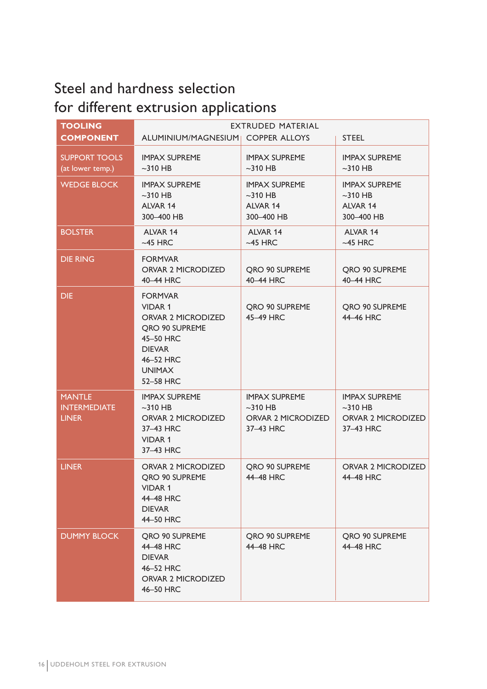# Steel and hardness selection for different extrusion applications

| <b>TOOLING</b>                                       | <b>EXTRUDED MATERIAL</b>                                                                                                                                |                                                                            |                                                                            |  |  |
|------------------------------------------------------|---------------------------------------------------------------------------------------------------------------------------------------------------------|----------------------------------------------------------------------------|----------------------------------------------------------------------------|--|--|
| <b>COMPONENT</b>                                     | ALUMINIUM/MAGNESIUM   COPPER ALLOYS                                                                                                                     |                                                                            | <b>STEEL</b>                                                               |  |  |
| <b>SUPPORT TOOLS</b><br>(at lower temp.)             | <b>IMPAX SUPREME</b><br>$\sim$ 310 HB                                                                                                                   | <b>IMPAX SUPREME</b><br>$\sim$ 310 HB                                      | <b>IMPAX SUPREME</b><br>$\sim$ 310 HB                                      |  |  |
| <b>WEDGE BLOCK</b>                                   | <b>IMPAX SUPREME</b><br>$~10$ HB<br>ALVAR 14<br>300-400 HB                                                                                              | <b>IMPAX SUPREME</b><br>$~10$ HB<br>ALVAR 14<br>300-400 HB                 | <b>IMPAX SUPREME</b><br>$\sim$ 310 HB<br>ALVAR 14<br>300-400 HB            |  |  |
| <b>BOLSTER</b>                                       | ALVAR <sub>14</sub><br>$~145$ HRC                                                                                                                       | ALVAR 14<br>$~145$ HRC                                                     | ALVAR <sub>14</sub><br>$~145$ HRC                                          |  |  |
| <b>DIE RING</b>                                      | <b>FORMVAR</b><br><b>ORVAR 2 MICRODIZED</b><br>40-44 HRC                                                                                                | QRO 90 SUPREME<br>40-44 HRC                                                | QRO 90 SUPREME<br>40-44 HRC                                                |  |  |
| <b>DIE</b>                                           | <b>FORMVAR</b><br><b>VIDAR1</b><br><b>ORVAR 2 MICRODIZED</b><br>ORO 90 SUPREME<br>45-50 HRC<br><b>DIEVAR</b><br>46-52 HRC<br><b>UNIMAX</b><br>52-58 HRC | QRO 90 SUPREME<br>45-49 HRC                                                | QRO 90 SUPREME<br>44-46 HRC                                                |  |  |
| <b>MANTLE</b><br><b>INTERMEDIATE</b><br><b>LINER</b> | <b>IMPAX SUPREME</b><br>$~10$ HB<br><b>ORVAR 2 MICRODIZED</b><br>37-43 HRC<br><b>VIDAR1</b><br>37-43 HRC                                                | <b>IMPAX SUPREME</b><br>$~10$ HB<br><b>ORVAR 2 MICRODIZED</b><br>37-43 HRC | <b>IMPAX SUPREME</b><br>$~10$ HB<br><b>ORVAR 2 MICRODIZED</b><br>37-43 HRC |  |  |
| <b>LINER</b>                                         | <b>ORVAR 2 MICRODIZED</b><br>QRO 90 SUPREME<br><b>VIDAR1</b><br>44-48 HRC<br><b>DIEVAR</b><br>44-50 HRC                                                 | ORO 90 SUPREME<br>44-48 HRC                                                | <b>ORVAR 2 MICRODIZED</b><br>44-48 HRC                                     |  |  |
| <b>DUMMY BLOCK</b>                                   | ORO 90 SUPREME<br>44–48 HRC<br><b>DIEVAR</b><br>46-52 HRC<br><b>ORVAR 2 MICRODIZED</b><br>46-50 HRC                                                     | QRO 90 SUPREME<br>44–48 HRC                                                | QRO 90 SUPREME<br>44-48 HRC                                                |  |  |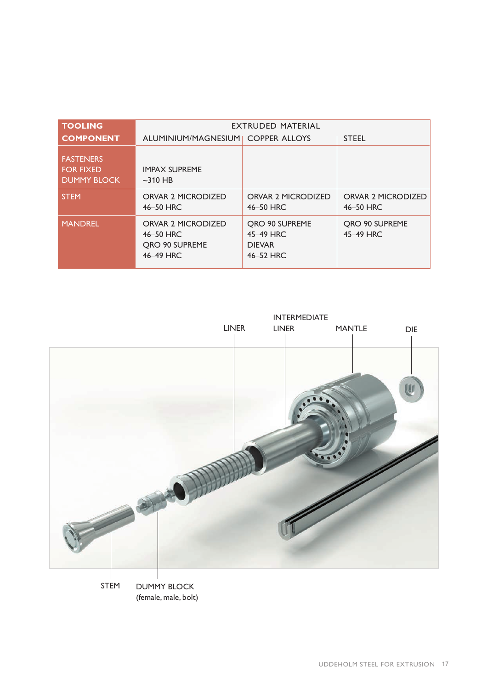| <b>TOOLING</b>                                             | <b>EXTRUDED MATERIAL</b>                                              |                                                           |                                        |  |  |
|------------------------------------------------------------|-----------------------------------------------------------------------|-----------------------------------------------------------|----------------------------------------|--|--|
| <b>COMPONENT</b>                                           | ALUMINIUM/MAGNESIUMI COPPER ALLOYS                                    |                                                           | <b>STEEL</b>                           |  |  |
| <b>FASTENERS</b><br><b>FOR FIXED</b><br><b>DUMMY BLOCK</b> | <b>IMPAX SUPREME</b><br>$\sim$ 310 HB                                 |                                                           |                                        |  |  |
| <b>STEM</b>                                                | <b>ORVAR 2 MICRODIZED</b><br>46-50 HRC                                | <b>ORVAR 2 MICRODIZED</b><br>46-50 HRC                    | <b>ORVAR 2 MICRODIZED</b><br>46-50 HRC |  |  |
| <b>MANDREL</b>                                             | <b>ORVAR 2 MICRODIZED</b><br>46-50 HRC<br>ORO 90 SUPREME<br>46-49 HRC | QRO 90 SUPREME<br>45-49 HRC<br><b>DIEVAR</b><br>46-52 HRC | ORO 90 SUPREME<br>45-49 HRC            |  |  |



(female, male, bolt)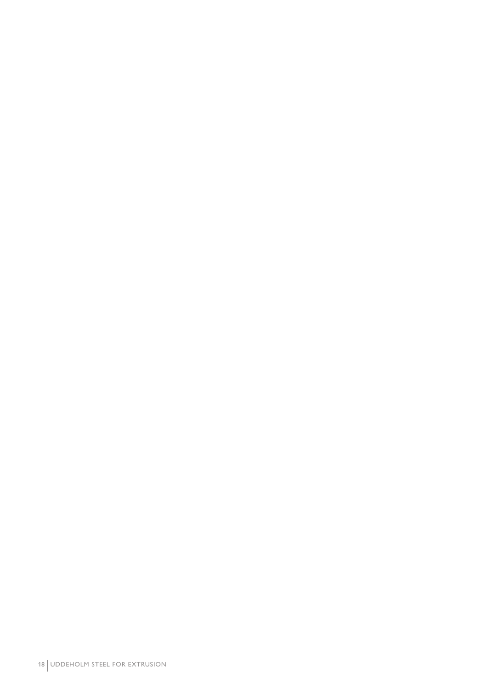18 UDDEHOLM STEEL FOR EXTRUSION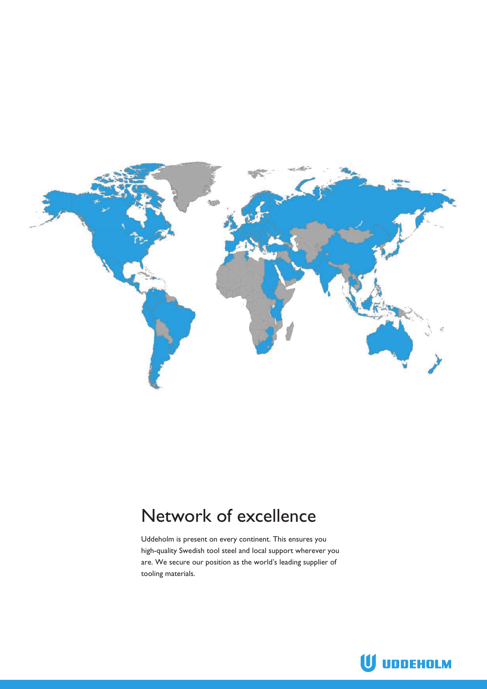

# Network of excellence

Uddeholm is present on every continent. This ensures you high-quality Swedish tool steel and local support wherever you are. We secure our position as the world's leading supplier of tooling materials.